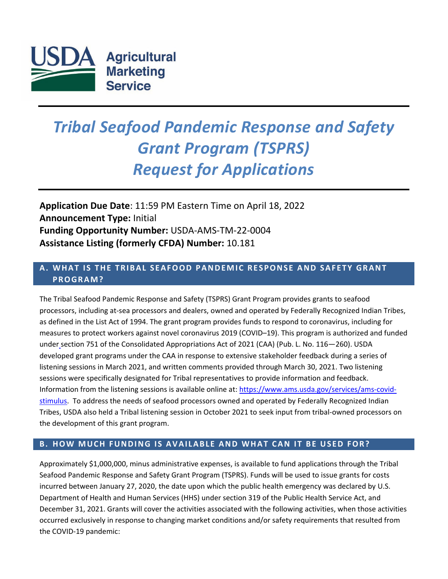

# *Tribal Seafood Pandemic Response and Safety Grant Program (TSPRS) Request for Applications*

**Application Due Date**: 11:59 PM Eastern Time on April 18, 2022 **Announcement Type:** Initial **Funding Opportunity Number:** USDA-AMS-TM-22-0004 **Assistance Listing (formerly CFDA) Number:** 10.181

# **A . WHAT IS THE TRIBAL SEAFOOD PANDEMIC RESPONSE AND SAFETY GRANT PROGRAM?**

The Tribal Seafood Pandemic Response and Safety (TSPRS) Grant Program provides grants to seafood processors, including at-sea processors and dealers, owned and operated by Federally Recognized Indian Tribes, as defined in the List Act of 1994. The grant program provides funds to respond to coronavirus, including for measures to protect workers against novel coronavirus 2019 (COVID–19). This program is authorized and funded under [section 751 of the Consolidated Appropriations Act of 2021 \(](https://www.congress.gov/116/bills/hr133/BILLS-116hr133enr.pdf)CAA) (Pub. L. No. 116—260). USDA developed grant programs under the CAA in response to extensive stakeholder feedback during a series of listening sessions in March 2021, and written comments provided through March 30, 2021. Two listening sessions were specifically designated for Tribal representatives to provide information and feedback. Information from the listening sessions is available online at: [https://www.ams.usda.gov/services/ams-covid](https://www.ams.usda.gov/services/ams-covid-stimulus)[stimulus.](https://www.ams.usda.gov/services/ams-covid-stimulus) To address the needs of seafood processors owned and operated by Federally Recognized Indian Tribes, USDA also held a Tribal listening session in October 2021 to seek input from tribal-owned processors on the development of this grant program.

## **B . HOW MUCH FUNDING IS AVAILABLE AND WHAT CAN IT BE USED FOR?**

Approximately \$1,000,000, minus administrative expenses, is available to fund applications through the Tribal Seafood Pandemic Response and Safety Grant Program (TSPRS). Funds will be used to issue grants for costs incurred between January 27, 2020, the date upon which the public health emergency was declared by U.S. Department of Health and Human Services (HHS) under section 319 of the Public Health Service Act, and December 31, 2021. Grants will cover the activities associated with the following activities, when those activities occurred exclusively in response to changing market conditions and/or safety requirements that resulted from the COVID-19 pandemic: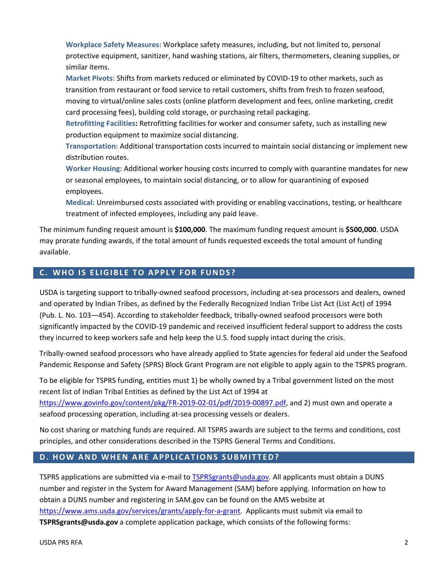**Workplace Safety Measures:** Workplace safety measures, including, but not limited to, personal protective equipment, sanitizer, hand washing stations, air filters, thermometers, cleaning supplies, or similar items.

**Market Pivots:** Shifts from markets reduced or eliminated by COVID-19 to other markets, such as transition from restaurant or food service to retail customers, shifts from fresh to frozen seafood, moving to virtual/online sales costs (online platform development and fees, online marketing, credit card processing fees), building cold storage, or purchasing retail packaging.

**Retrofitting Facilities:** Retrofitting facilities for worker and consumer safety, such as installing new production equipment to maximize social distancing.

**Transportation:** Additional transportation costs incurred to maintain social distancing or implement new distribution routes.

**Worker Housing:** Additional worker housing costs incurred to comply with quarantine mandates for new or seasonal employees, to maintain social distancing, or to allow for quarantining of exposed employees.

**Medical:** Unreimbursed costs associated with providing or enabling vaccinations, testing, or healthcare treatment of infected employees, including any paid leave.

The minimum funding request amount is **\$100,000**. The maximum funding request amount is **\$500,000**. USDA may prorate funding awards, if the total amount of funds requested exceeds the total amount of funding available.

## **C . WHO IS ELIGIBLE TO APPLY FOR FUNDS?**

USDA is targeting support to tribally-owned seafood processors, including at-sea processors and dealers, owned and operated by Indian Tribes, as defined by the Federally Recognized Indian Tribe List Act (List Act) of 1994 [\(Pub.](https://www.govinfo.gov/content/pkg/USCODE-2016-title25/pdf/USCODE-2016-title25-chap45-sec5131.pdf) L. No. 103—454). According to stakeholder feedback, tribally-owned seafood processors were both significantly impacted by the COVID-19 pandemic and received insufficient federal support to address the costs they incurred to keep workers safe and help keep the U.S. food supply intact during the crisis.

Tribally-owned seafood processors who have already applied to State agencies for federal aid under the Seafood Pandemic Response and Safety (SPRS) Block Grant Program are not eligible to apply again to the TSPRS program.

To be eligible for TSPRS funding, entities must 1) be wholly owned by a Tribal government listed on the most recent list of Indian Tribal Entities as defined by the List Act of 1994 at

[https://www.govinfo.gov/content/pkg/FR-2019-02-01/pdf/2019-00897.pdf,](https://www.govinfo.gov/content/pkg/FR-2019-02-01/pdf/2019-00897.pdf) and 2) must own and operate a seafood processing operation, including at-sea processing vessels or dealers.

No cost sharing or matching funds are required. All TSPRS awards are subject to the terms and conditions, cost principles, and other considerations described in the TSPRS General Terms and Conditions.

#### **D. HOW AND WHEN ARE APPLICATIONS SUBMITTED?**

TSPRS applications are submitted via e-mail to **TSPRSgrants@usda.gov.** All applicants must obtain a DUNS number and register in the System for Award Management (SAM) before applying. Information on how to obtain a DUNS number and registering in SAM.gov can be found on the AMS website at [https://www.ams.usda.gov/services/grants/apply-for-a-grant.](https://www.ams.usda.gov/services/grants/apply-for-a-grant) Applicants must submit via email to **TSPRSgrants@usda.gov** a complete application package, which consists of the following forms: